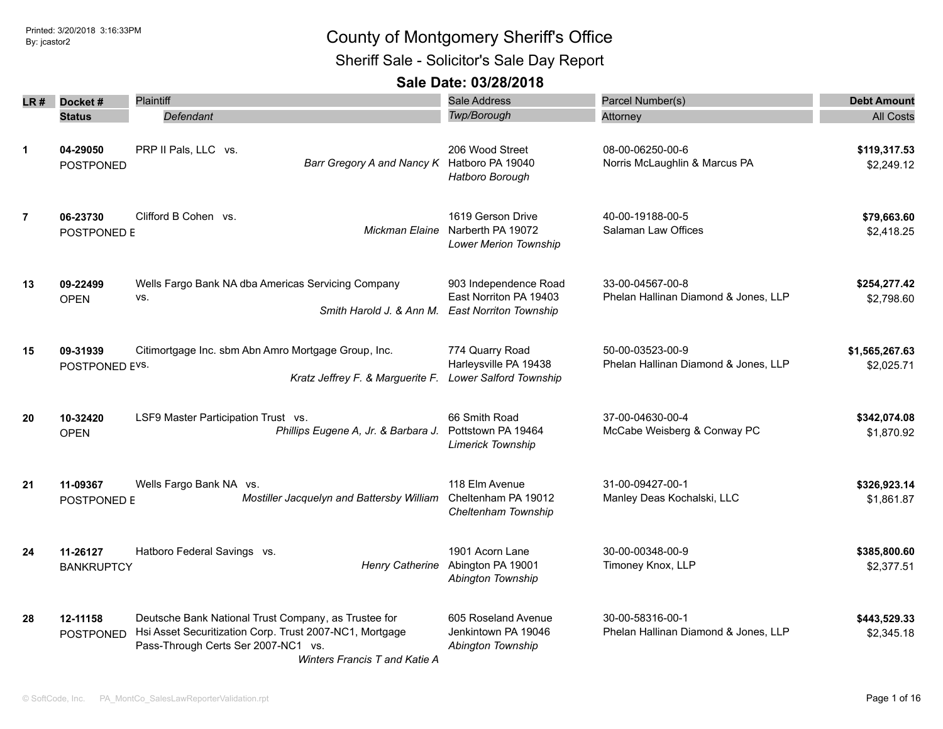Sheriff Sale - Solicitor's Sale Day Report

| LR #           | Docket#           | <b>Plaintiff</b>                                                                               | Sale Address                            | Parcel Number(s)                     | <b>Debt Amount</b> |
|----------------|-------------------|------------------------------------------------------------------------------------------------|-----------------------------------------|--------------------------------------|--------------------|
|                | <b>Status</b>     | Defendant                                                                                      | Twp/Borough                             | Attorney                             | <b>All Costs</b>   |
|                |                   |                                                                                                |                                         |                                      |                    |
| $\mathbf{1}$   | 04-29050          | PRP II Pals, LLC vs.                                                                           | 206 Wood Street                         | 08-00-06250-00-6                     | \$119,317.53       |
|                | <b>POSTPONED</b>  | Barr Gregory A and Nancy K Hatboro PA 19040                                                    |                                         | Norris McLaughlin & Marcus PA        | \$2,249.12         |
|                |                   |                                                                                                | Hatboro Borough                         |                                      |                    |
| $\overline{7}$ | 06-23730          | Clifford B Cohen vs.                                                                           | 1619 Gerson Drive                       | 40-00-19188-00-5                     | \$79,663.60        |
|                | POSTPONED E       | Mickman Elaine                                                                                 | Narberth PA 19072                       | Salaman Law Offices                  | \$2,418.25         |
|                |                   |                                                                                                | <b>Lower Merion Township</b>            |                                      |                    |
| 13             | 09-22499          | Wells Fargo Bank NA dba Americas Servicing Company                                             | 903 Independence Road                   | 33-00-04567-00-8                     | \$254,277.42       |
|                | <b>OPEN</b>       | VS.                                                                                            | East Norriton PA 19403                  | Phelan Hallinan Diamond & Jones, LLP | \$2,798.60         |
|                |                   | Smith Harold J. & Ann M.                                                                       | <b>East Norriton Township</b>           |                                      |                    |
| 15             | 09-31939          | Citimortgage Inc. sbm Abn Amro Mortgage Group, Inc.                                            | 774 Quarry Road                         | 50-00-03523-00-9                     | \$1,565,267.63     |
|                | POSTPONED EVS.    |                                                                                                | Harleysville PA 19438                   | Phelan Hallinan Diamond & Jones, LLP | \$2,025.71         |
|                |                   | Kratz Jeffrey F. & Marguerite F.                                                               | <b>Lower Salford Township</b>           |                                      |                    |
| 20             | 10-32420          | LSF9 Master Participation Trust vs.                                                            | 66 Smith Road                           | 37-00-04630-00-4                     | \$342,074.08       |
|                | <b>OPEN</b>       | Phillips Eugene A, Jr. & Barbara J.                                                            | Pottstown PA 19464<br>Limerick Township | McCabe Weisberg & Conway PC          | \$1,870.92         |
| 21             | 11-09367          | Wells Fargo Bank NA vs.                                                                        | 118 Elm Avenue                          | 31-00-09427-00-1                     | \$326,923.14       |
|                | POSTPONED E       | Mostiller Jacquelyn and Battersby William                                                      | Cheltenham PA 19012                     | Manley Deas Kochalski, LLC           | \$1,861.87         |
|                |                   |                                                                                                | Cheltenham Township                     |                                      |                    |
| 24             | 11-26127          | Hatboro Federal Savings vs.                                                                    | 1901 Acorn Lane                         | 30-00-00348-00-9                     | \$385,800.60       |
|                | <b>BANKRUPTCY</b> | Henry Catherine                                                                                | Abington PA 19001                       | Timoney Knox, LLP                    | \$2,377.51         |
|                |                   |                                                                                                | Abington Township                       |                                      |                    |
| 28             | 12-11158          | Deutsche Bank National Trust Company, as Trustee for                                           | 605 Roseland Avenue                     | 30-00-58316-00-1                     | \$443,529.33       |
|                | <b>POSTPONED</b>  | Hsi Asset Securitization Corp. Trust 2007-NC1, Mortgage<br>Pass-Through Certs Ser 2007-NC1 vs. | Jenkintown PA 19046                     | Phelan Hallinan Diamond & Jones, LLP | \$2,345.18         |
|                |                   | Winters Francis T and Katie A                                                                  | Abington Township                       |                                      |                    |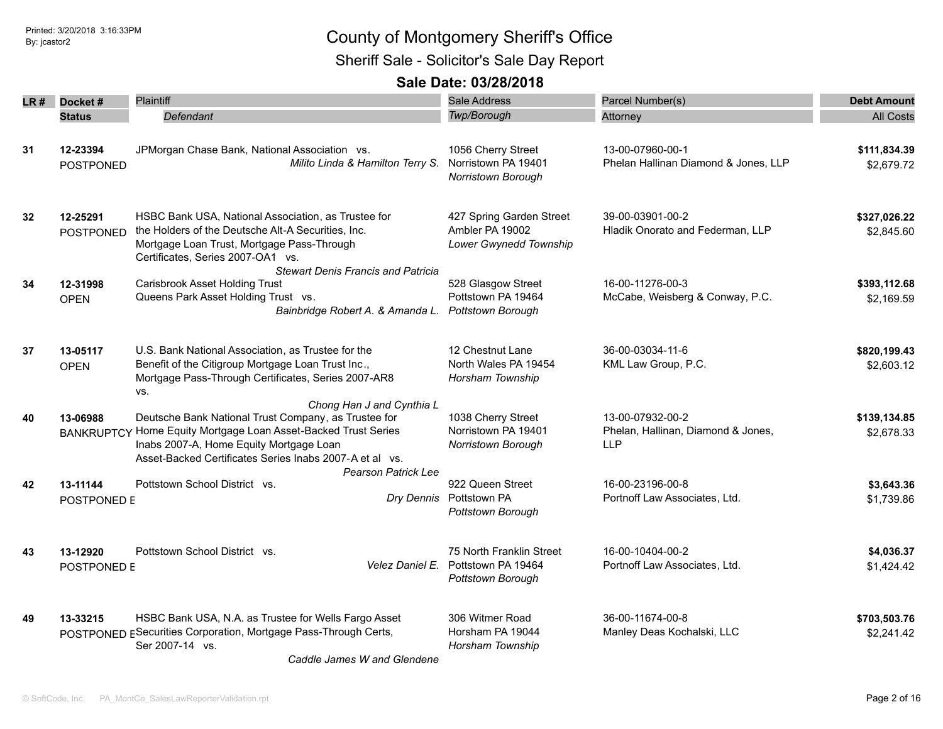Sheriff Sale - Solicitor's Sale Day Report

| LR # | Docket#                       | <b>Plaintiff</b>                                                                                                                                                                                                                               | <b>Sale Address</b>                                                                 | Parcel Number(s)                                                     | <b>Debt Amount</b>         |
|------|-------------------------------|------------------------------------------------------------------------------------------------------------------------------------------------------------------------------------------------------------------------------------------------|-------------------------------------------------------------------------------------|----------------------------------------------------------------------|----------------------------|
|      | <b>Status</b>                 | Defendant                                                                                                                                                                                                                                      | Twp/Borough                                                                         | Attorney                                                             | <b>All Costs</b>           |
| 31   | 12-23394<br><b>POSTPONED</b>  | JPMorgan Chase Bank, National Association vs.<br>Milito Linda & Hamilton Terry S.                                                                                                                                                              | 1056 Cherry Street<br>Norristown PA 19401<br>Norristown Borough                     | 13-00-07960-00-1<br>Phelan Hallinan Diamond & Jones, LLP             | \$111,834.39<br>\$2,679.72 |
| 32   | 12-25291<br><b>POSTPONED</b>  | HSBC Bank USA, National Association, as Trustee for<br>the Holders of the Deutsche Alt-A Securities, Inc.<br>Mortgage Loan Trust, Mortgage Pass-Through<br>Certificates, Series 2007-OA1 vs.                                                   | 427 Spring Garden Street<br>Ambler PA 19002<br>Lower Gwynedd Township               | 39-00-03901-00-2<br>Hladik Onorato and Federman, LLP                 | \$327,026.22<br>\$2,845.60 |
| 34   | 12-31998<br><b>OPEN</b>       | <b>Stewart Denis Francis and Patricia</b><br><b>Carisbrook Asset Holding Trust</b><br>Queens Park Asset Holding Trust vs.<br>Bainbridge Robert A. & Amanda L. Pottstown Borough                                                                | 528 Glasgow Street<br>Pottstown PA 19464                                            | 16-00-11276-00-3<br>McCabe, Weisberg & Conway, P.C.                  | \$393,112.68<br>\$2,169.59 |
| 37   | 13-05117<br><b>OPEN</b>       | U.S. Bank National Association, as Trustee for the<br>Benefit of the Citigroup Mortgage Loan Trust Inc.,<br>Mortgage Pass-Through Certificates, Series 2007-AR8<br>VS.                                                                         | 12 Chestnut Lane<br>North Wales PA 19454<br>Horsham Township                        | 36-00-03034-11-6<br>KML Law Group, P.C.                              | \$820,199.43<br>\$2,603.12 |
| 40   | 13-06988<br><b>BANKRUPTCY</b> | Chong Han J and Cynthia L<br>Deutsche Bank National Trust Company, as Trustee for<br>Home Equity Mortgage Loan Asset-Backed Trust Series<br>Inabs 2007-A, Home Equity Mortgage Loan<br>Asset-Backed Certificates Series Inabs 2007-A et al vs. | 1038 Cherry Street<br>Norristown PA 19401<br>Norristown Borough                     | 13-00-07932-00-2<br>Phelan, Hallinan, Diamond & Jones,<br><b>LLP</b> | \$139,134.85<br>\$2,678.33 |
| 42   | 13-11144<br>POSTPONED E       | <b>Pearson Patrick Lee</b><br>Pottstown School District vs.                                                                                                                                                                                    | 922 Queen Street<br>Dry Dennis Pottstown PA<br>Pottstown Borough                    | 16-00-23196-00-8<br>Portnoff Law Associates, Ltd.                    | \$3,643.36<br>\$1,739.86   |
| 43   | 13-12920<br>POSTPONED E       | Pottstown School District vs.                                                                                                                                                                                                                  | 75 North Franklin Street<br>Velez Daniel E. Pottstown PA 19464<br>Pottstown Borough | 16-00-10404-00-2<br>Portnoff Law Associates, Ltd.                    | \$4,036.37<br>\$1,424.42   |
| 49   | 13-33215                      | HSBC Bank USA, N.A. as Trustee for Wells Fargo Asset<br>POSTPONED ESecurities Corporation, Mortgage Pass-Through Certs,<br>Ser 2007-14 vs.<br>Caddle James W and Glendene                                                                      | 306 Witmer Road<br>Horsham PA 19044<br>Horsham Township                             | 36-00-11674-00-8<br>Manley Deas Kochalski, LLC                       | \$703,503.76<br>\$2,241.42 |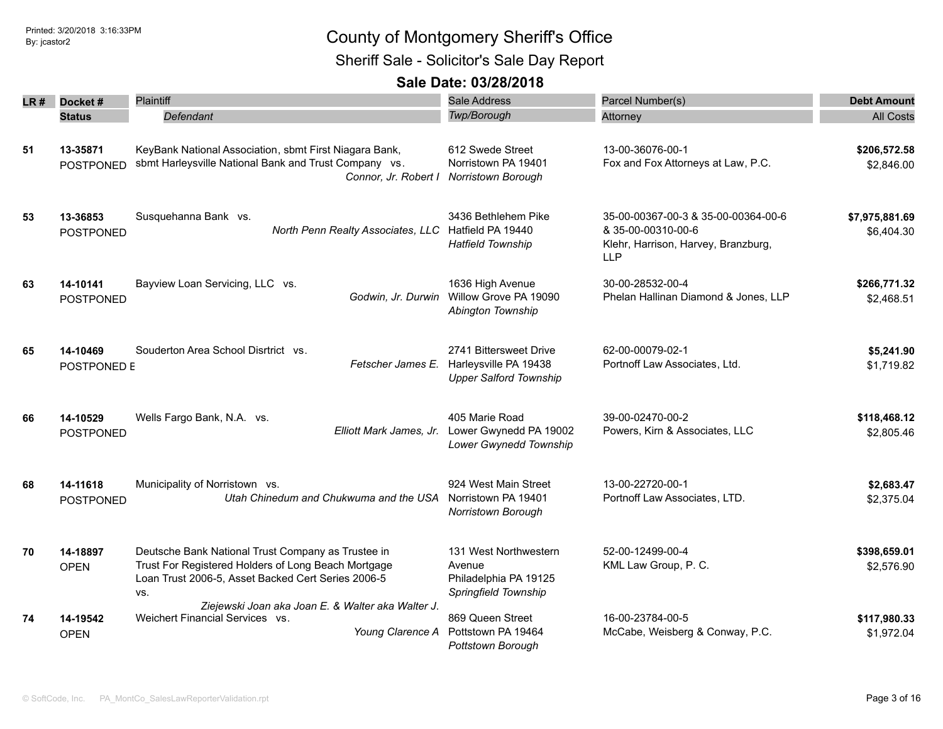Sheriff Sale - Solicitor's Sale Day Report

| LR# | Docket#                      | Plaintiff                                                                                                                                                              | <b>Sale Address</b>                                                              | Parcel Number(s)                                                                                               | <b>Debt Amount</b>           |
|-----|------------------------------|------------------------------------------------------------------------------------------------------------------------------------------------------------------------|----------------------------------------------------------------------------------|----------------------------------------------------------------------------------------------------------------|------------------------------|
|     | <b>Status</b>                | Defendant                                                                                                                                                              | <b>Twp/Borough</b>                                                               | Attorney                                                                                                       | <b>All Costs</b>             |
| 51  | 13-35871<br><b>POSTPONED</b> | KeyBank National Association, sbmt First Niagara Bank,<br>sbmt Harleysville National Bank and Trust Company vs.<br>Connor, Jr. Robert I                                | 612 Swede Street<br>Norristown PA 19401<br>Norristown Borough                    | 13-00-36076-00-1<br>Fox and Fox Attorneys at Law, P.C.                                                         | \$206,572.58<br>\$2,846.00   |
| 53  | 13-36853<br><b>POSTPONED</b> | Susquehanna Bank vs.<br>North Penn Realty Associates, LLC                                                                                                              | 3436 Bethlehem Pike<br>Hatfield PA 19440<br><b>Hatfield Township</b>             | 35-00-00367-00-3 & 35-00-00364-00-6<br>& 35-00-00310-00-6<br>Klehr, Harrison, Harvey, Branzburg,<br><b>LLP</b> | \$7,975,881.69<br>\$6,404.30 |
| 63  | 14-10141<br>POSTPONED        | Bayview Loan Servicing, LLC vs.<br>Godwin, Jr. Durwin                                                                                                                  | 1636 High Avenue<br>Willow Grove PA 19090<br>Abington Township                   | 30-00-28532-00-4<br>Phelan Hallinan Diamond & Jones, LLP                                                       | \$266,771.32<br>\$2,468.51   |
| 65  | 14-10469<br>POSTPONED E      | Souderton Area School Disrtrict vs.<br>Fetscher James E.                                                                                                               | 2741 Bittersweet Drive<br>Harleysville PA 19438<br><b>Upper Salford Township</b> | 62-00-00079-02-1<br>Portnoff Law Associates, Ltd.                                                              | \$5,241.90<br>\$1,719.82     |
| 66  | 14-10529<br><b>POSTPONED</b> | Wells Fargo Bank, N.A. vs.<br>Elliott Mark James, Jr.                                                                                                                  | 405 Marie Road<br>Lower Gwynedd PA 19002<br>Lower Gwynedd Township               | 39-00-02470-00-2<br>Powers, Kirn & Associates, LLC                                                             | \$118,468.12<br>\$2,805.46   |
| 68  | 14-11618<br>POSTPONED        | Municipality of Norristown vs.<br>Utah Chinedum and Chukwuma and the USA                                                                                               | 924 West Main Street<br>Norristown PA 19401<br>Norristown Borough                | 13-00-22720-00-1<br>Portnoff Law Associates, LTD.                                                              | \$2,683.47<br>\$2.375.04     |
| 70  | 14-18897<br><b>OPEN</b>      | Deutsche Bank National Trust Company as Trustee in<br>Trust For Registered Holders of Long Beach Mortgage<br>Loan Trust 2006-5, Asset Backed Cert Series 2006-5<br>VS. | 131 West Northwestern<br>Avenue<br>Philadelphia PA 19125<br>Springfield Township | 52-00-12499-00-4<br>KML Law Group, P. C.                                                                       | \$398,659.01<br>\$2,576.90   |
| 74  | 14-19542<br><b>OPEN</b>      | Ziejewski Joan aka Joan E. & Walter aka Walter J.<br>Weichert Financial Services vs.<br>Young Clarence A                                                               | 869 Queen Street<br>Pottstown PA 19464<br>Pottstown Borough                      | 16-00-23784-00-5<br>McCabe, Weisberg & Conway, P.C.                                                            | \$117,980.33<br>\$1,972.04   |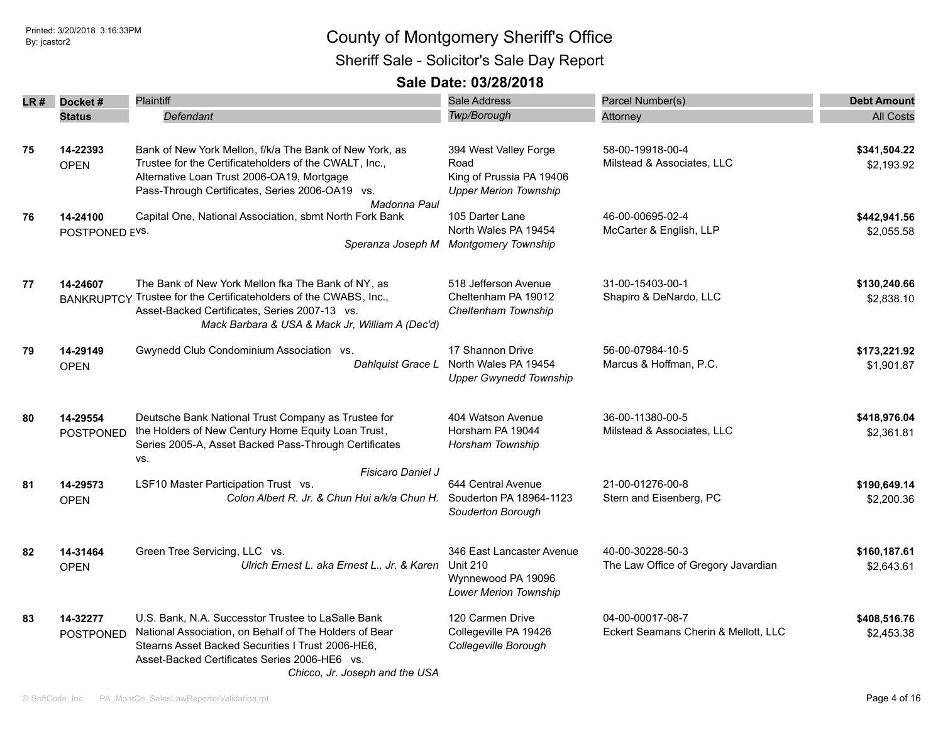|    | LR# Docket#                   | <b>Plaintiff</b>                                                                                                                                                                                                                                     | Sale Address                                                                                       | Parcel Number(s)                                         | <b>Debt Amount</b>         |
|----|-------------------------------|------------------------------------------------------------------------------------------------------------------------------------------------------------------------------------------------------------------------------------------------------|----------------------------------------------------------------------------------------------------|----------------------------------------------------------|----------------------------|
|    | <b>Status</b>                 | Defendant                                                                                                                                                                                                                                            | Twp/Borough                                                                                        | Attorney                                                 | <b>All Costs</b>           |
| 75 | 14-22393<br><b>OPEN</b>       | Bank of New York Mellon, f/k/a The Bank of New York, as<br>Trustee for the Certificateholders of the CWALT, Inc.,<br>Alternative Loan Trust 2006-OA19, Mortgage<br>Pass-Through Certificates, Series 2006-OA19 vs.                                   | 394 West Valley Forge<br>Road<br>King of Prussia PA 19406<br><b>Upper Merion Township</b>          | 58-00-19918-00-4<br>Milstead & Associates, LLC           | \$341,504.22<br>\$2,193.92 |
| 76 | 14-24100<br>POSTPONED EVS.    | Madonna Paul<br>Capital One, National Association, sbmt North Fork Bank                                                                                                                                                                              | 105 Darter Lane<br>North Wales PA 19454<br>Speranza Joseph M Montgomery Township                   | 46-00-00695-02-4<br>McCarter & English, LLP              | \$442,941.56<br>\$2,055.58 |
| 77 | 14-24607<br><b>BANKRUPTCY</b> | The Bank of New York Mellon fka The Bank of NY, as<br>Trustee for the Certificateholders of the CWABS, Inc.,<br>Asset-Backed Certificates, Series 2007-13 vs.<br>Mack Barbara & USA & Mack Jr, William A (Dec'd)                                     | 518 Jefferson Avenue<br>Cheltenham PA 19012<br>Cheltenham Township                                 | 31-00-15403-00-1<br>Shapiro & DeNardo, LLC               | \$130,240.66<br>\$2,838.10 |
| 79 | 14-29149<br><b>OPEN</b>       | Gwynedd Club Condominium Association vs.                                                                                                                                                                                                             | 17 Shannon Drive<br>Dahlquist Grace L North Wales PA 19454<br><b>Upper Gwynedd Township</b>        | 56-00-07984-10-5<br>Marcus & Hoffman, P.C.               | \$173,221.92<br>\$1,901.87 |
| 80 | 14-29554<br><b>POSTPONED</b>  | Deutsche Bank National Trust Company as Trustee for<br>the Holders of New Century Home Equity Loan Trust,<br>Series 2005-A, Asset Backed Pass-Through Certificates<br>VS.                                                                            | 404 Watson Avenue<br>Horsham PA 19044<br>Horsham Township                                          | 36-00-11380-00-5<br>Milstead & Associates, LLC           | \$418,976.04<br>\$2,361.81 |
| 81 | 14-29573<br><b>OPEN</b>       | Fisicaro Daniel J<br>LSF10 Master Participation Trust vs.<br>Colon Albert R. Jr. & Chun Hui a/k/a Chun H.                                                                                                                                            | 644 Central Avenue<br>Souderton PA 18964-1123<br>Souderton Borough                                 | 21-00-01276-00-8<br>Stern and Eisenberg, PC              | \$190,649.14<br>\$2,200.36 |
| 82 | 14-31464<br><b>OPEN</b>       | Green Tree Servicing, LLC vs.<br>Ulrich Ernest L. aka Ernest L., Jr. & Karen                                                                                                                                                                         | 346 East Lancaster Avenue<br><b>Unit 210</b><br>Wynnewood PA 19096<br><b>Lower Merion Township</b> | 40-00-30228-50-3<br>The Law Office of Gregory Javardian  | \$160,187.61<br>\$2,643.61 |
| 83 | 14-32277<br>POSTPONED         | U.S. Bank, N.A. Successtor Trustee to LaSalle Bank<br>National Association, on Behalf of The Holders of Bear<br>Stearns Asset Backed Securities I Trust 2006-HE6.<br>Asset-Backed Certificates Series 2006-HE6 vs.<br>Chicco, Jr. Joseph and the USA | 120 Carmen Drive<br>Collegeville PA 19426<br>Collegeville Borough                                  | 04-00-00017-08-7<br>Eckert Seamans Cherin & Mellott, LLC | \$408,516.76<br>\$2,453.38 |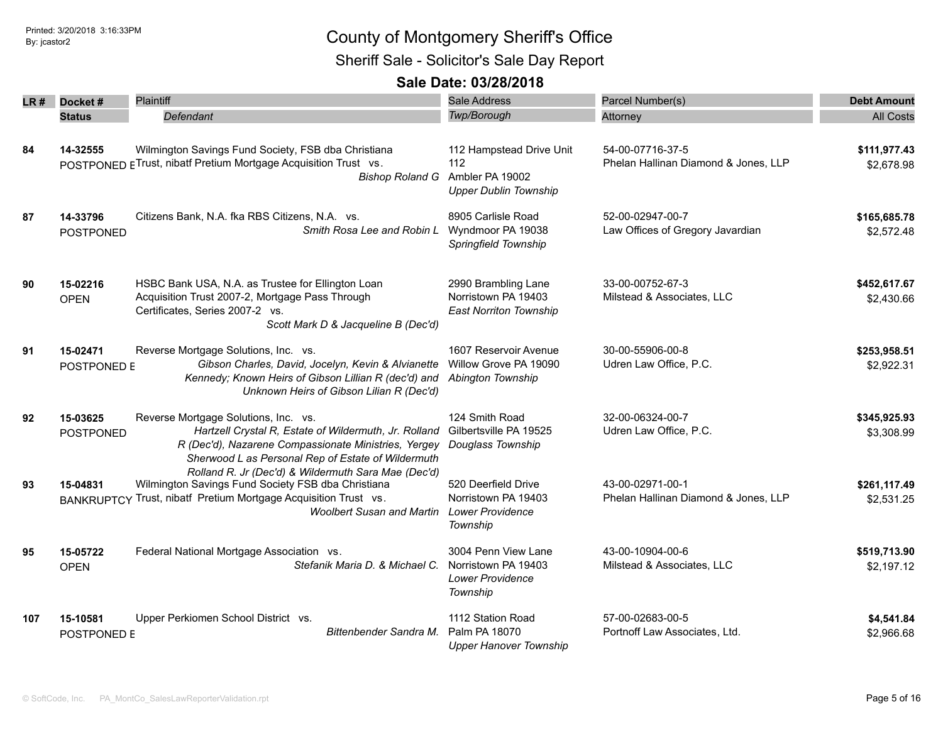Sheriff Sale - Solicitor's Sale Day Report

| LR# | Docket#                      | Plaintiff                                                                                                                                                                                                        | Sale Address                                                                       | Parcel Number(s)                                         | <b>Debt Amount</b>         |
|-----|------------------------------|------------------------------------------------------------------------------------------------------------------------------------------------------------------------------------------------------------------|------------------------------------------------------------------------------------|----------------------------------------------------------|----------------------------|
|     | <b>Status</b>                | Defendant                                                                                                                                                                                                        | Twp/Borough                                                                        | Attorney                                                 | <b>All Costs</b>           |
| 84  | 14-32555                     | Wilmington Savings Fund Society, FSB dba Christiana<br>POSTPONED E Trust, nibatf Pretium Mortgage Acquisition Trust vs.<br><b>Bishop Roland G</b>                                                                | 112 Hampstead Drive Unit<br>112<br>Ambler PA 19002<br><b>Upper Dublin Township</b> | 54-00-07716-37-5<br>Phelan Hallinan Diamond & Jones, LLP | \$111,977.43<br>\$2,678.98 |
| 87  | 14-33796<br>POSTPONED        | Citizens Bank, N.A. fka RBS Citizens, N.A. vs.<br>Smith Rosa Lee and Robin L                                                                                                                                     | 8905 Carlisle Road<br>Wyndmoor PA 19038<br>Springfield Township                    | 52-00-02947-00-7<br>Law Offices of Gregory Javardian     | \$165,685.78<br>\$2,572.48 |
| 90  | 15-02216<br><b>OPEN</b>      | HSBC Bank USA, N.A. as Trustee for Ellington Loan<br>Acquisition Trust 2007-2, Mortgage Pass Through<br>Certificates, Series 2007-2 vs.<br>Scott Mark D & Jacqueline B (Dec'd)                                   | 2990 Brambling Lane<br>Norristown PA 19403<br><b>East Norriton Township</b>        | 33-00-00752-67-3<br>Milstead & Associates, LLC           | \$452,617.67<br>\$2,430.66 |
| 91  | 15-02471<br>POSTPONED E      | Reverse Mortgage Solutions, Inc. vs.<br>Gibson Charles, David, Jocelyn, Kevin & Alvianette<br>Kennedy; Known Heirs of Gibson Lillian R (dec'd) and<br>Unknown Heirs of Gibson Lilian R (Dec'd)                   | 1607 Reservoir Avenue<br>Willow Grove PA 19090<br>Abington Township                | 30-00-55906-00-8<br>Udren Law Office, P.C.               | \$253,958.51<br>\$2,922.31 |
| 92  | 15-03625<br><b>POSTPONED</b> | Reverse Mortgage Solutions, Inc. vs.<br>Hartzell Crystal R, Estate of Wildermuth, Jr. Rolland<br>R (Dec'd), Nazarene Compassionate Ministries, Yergey<br>Sherwood L as Personal Rep of Estate of Wildermuth      | 124 Smith Road<br>Gilbertsville PA 19525<br>Douglass Township                      | 32-00-06324-00-7<br>Udren Law Office, P.C.               | \$345,925.93<br>\$3,308.99 |
| 93  | 15-04831                     | Rolland R. Jr (Dec'd) & Wildermuth Sara Mae (Dec'd)<br>Wilmington Savings Fund Society FSB dba Christiana<br>BANKRUPTCY Trust, nibatf Pretium Mortgage Acquisition Trust vs.<br><b>Woolbert Susan and Martin</b> | 520 Deerfield Drive<br>Norristown PA 19403<br><b>Lower Providence</b><br>Township  | 43-00-02971-00-1<br>Phelan Hallinan Diamond & Jones, LLP | \$261,117.49<br>\$2,531.25 |
| 95  | 15-05722<br><b>OPEN</b>      | Federal National Mortgage Association vs.<br>Stefanik Maria D. & Michael C.                                                                                                                                      | 3004 Penn View Lane<br>Norristown PA 19403<br><b>Lower Providence</b><br>Township  | 43-00-10904-00-6<br>Milstead & Associates, LLC           | \$519,713.90<br>\$2,197.12 |
| 107 | 15-10581<br>POSTPONED E      | Upper Perkiomen School District vs.<br>Bittenbender Sandra M.                                                                                                                                                    | 1112 Station Road<br>Palm PA 18070<br><b>Upper Hanover Township</b>                | 57-00-02683-00-5<br>Portnoff Law Associates, Ltd.        | \$4,541.84<br>\$2,966.68   |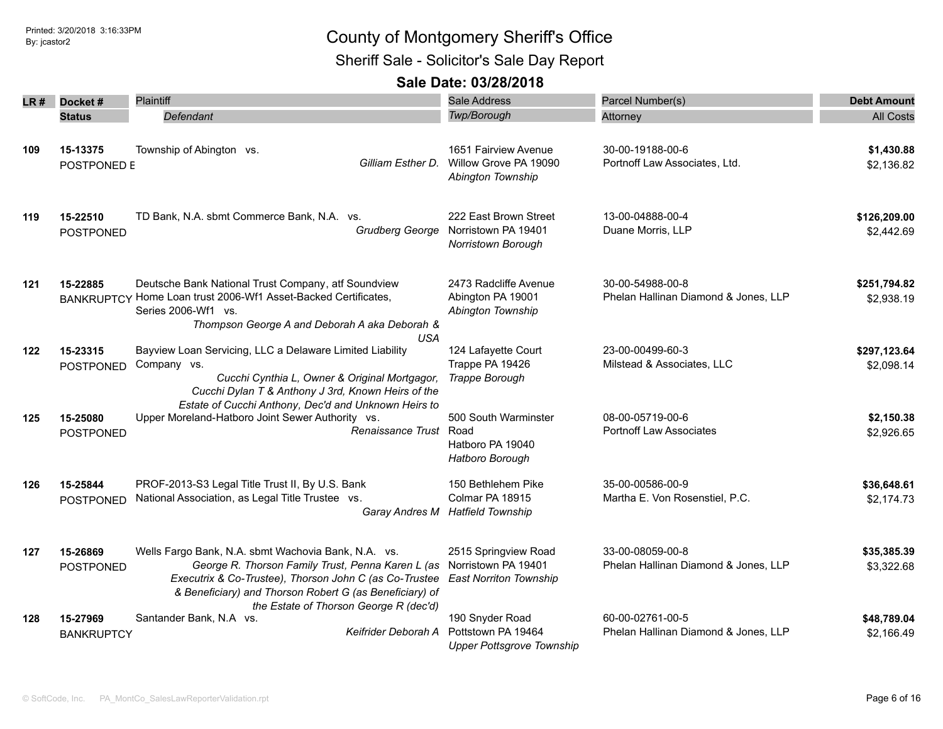Sheriff Sale - Solicitor's Sale Day Report

| LR # | Docket#                       | Plaintiff                                                                                                                                                                                                                                                               | <b>Sale Address</b>                                                          | Parcel Number(s)                                         | <b>Debt Amount</b>         |
|------|-------------------------------|-------------------------------------------------------------------------------------------------------------------------------------------------------------------------------------------------------------------------------------------------------------------------|------------------------------------------------------------------------------|----------------------------------------------------------|----------------------------|
|      | <b>Status</b>                 | <b>Defendant</b>                                                                                                                                                                                                                                                        | Twp/Borough                                                                  | Attorney                                                 | <b>All Costs</b>           |
| 109  | 15-13375<br>POSTPONED E       | Township of Abington vs.<br>Gilliam Esther D.                                                                                                                                                                                                                           | 1651 Fairview Avenue<br>Willow Grove PA 19090<br>Abington Township           | 30-00-19188-00-6<br>Portnoff Law Associates, Ltd.        | \$1,430.88<br>\$2,136.82   |
| 119  | 15-22510<br>POSTPONED         | TD Bank, N.A. sbmt Commerce Bank, N.A. vs.<br><b>Grudberg George</b>                                                                                                                                                                                                    | 222 East Brown Street<br>Norristown PA 19401<br>Norristown Borough           | 13-00-04888-00-4<br>Duane Morris, LLP                    | \$126,209.00<br>\$2,442.69 |
| 121  | 15-22885                      | Deutsche Bank National Trust Company, atf Soundview<br>BANKRUPTCY Home Loan trust 2006-Wf1 Asset-Backed Certificates,<br>Series 2006-Wf1 vs.<br>Thompson George A and Deborah A aka Deborah &<br><b>USA</b>                                                             | 2473 Radcliffe Avenue<br>Abington PA 19001<br>Abington Township              | 30-00-54988-00-8<br>Phelan Hallinan Diamond & Jones, LLP | \$251,794.82<br>\$2,938.19 |
| 122  | 15-23315<br>POSTPONED         | Bayview Loan Servicing, LLC a Delaware Limited Liability<br>Company vs.<br>Cucchi Cynthia L, Owner & Original Mortgagor,<br>Cucchi Dylan T & Anthony J 3rd, Known Heirs of the<br>Estate of Cucchi Anthony, Dec'd and Unknown Heirs to                                  | 124 Lafayette Court<br>Trappe PA 19426<br>Trappe Borough                     | 23-00-00499-60-3<br>Milstead & Associates, LLC           | \$297,123.64<br>\$2,098.14 |
| 125  | 15-25080<br>POSTPONED         | Upper Moreland-Hatboro Joint Sewer Authority vs.<br>Renaissance Trust Road                                                                                                                                                                                              | 500 South Warminster<br>Hatboro PA 19040<br>Hatboro Borough                  | 08-00-05719-00-6<br><b>Portnoff Law Associates</b>       | \$2,150.38<br>\$2,926.65   |
| 126  | 15-25844<br><b>POSTPONED</b>  | PROF-2013-S3 Legal Title Trust II, By U.S. Bank<br>National Association, as Legal Title Trustee vs.                                                                                                                                                                     | 150 Bethlehem Pike<br>Colmar PA 18915<br>Garay Andres M Hatfield Township    | 35-00-00586-00-9<br>Martha E. Von Rosenstiel, P.C.       | \$36,648.61<br>\$2,174.73  |
| 127  | 15-26869<br>POSTPONED         | Wells Fargo Bank, N.A. sbmt Wachovia Bank, N.A. vs.<br>George R. Thorson Family Trust, Penna Karen L (as<br>Executrix & Co-Trustee), Thorson John C (as Co-Trustee<br>& Beneficiary) and Thorson Robert G (as Beneficiary) of<br>the Estate of Thorson George R (dec'd) | 2515 Springview Road<br>Norristown PA 19401<br><b>East Norriton Township</b> | 33-00-08059-00-8<br>Phelan Hallinan Diamond & Jones, LLP | \$35,385.39<br>\$3,322.68  |
| 128  | 15-27969<br><b>BANKRUPTCY</b> | Santander Bank, N.A vs.<br>Keifrider Deborah A                                                                                                                                                                                                                          | 190 Snyder Road<br>Pottstown PA 19464<br><b>Upper Pottsgrove Township</b>    | 60-00-02761-00-5<br>Phelan Hallinan Diamond & Jones, LLP | \$48,789.04<br>\$2,166.49  |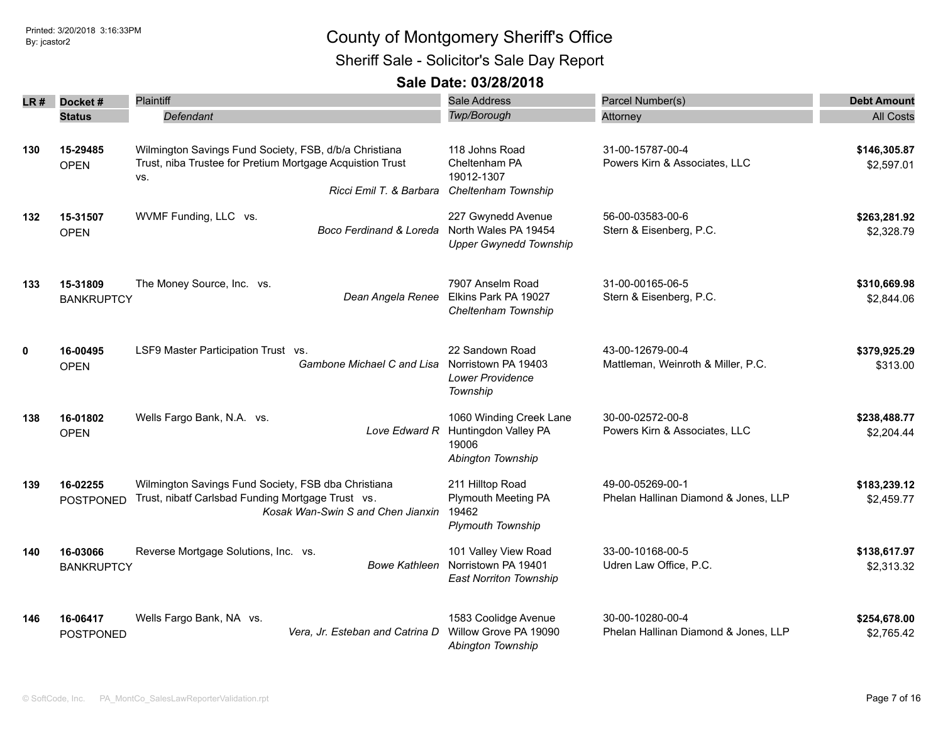| LR#         | Docket#                       | Plaintiff                                                 | Sale Address                             | Parcel Number(s)                     | <b>Debt Amount</b>         |
|-------------|-------------------------------|-----------------------------------------------------------|------------------------------------------|--------------------------------------|----------------------------|
|             | <b>Status</b>                 | Defendant                                                 | Twp/Borough                              | Attorney                             | <b>All Costs</b>           |
|             |                               |                                                           |                                          |                                      |                            |
| 130         | 15-29485                      | Wilmington Savings Fund Society, FSB, d/b/a Christiana    | 118 Johns Road                           | 31-00-15787-00-4                     | \$146,305.87               |
|             | <b>OPEN</b>                   | Trust, niba Trustee for Pretium Mortgage Acquistion Trust | Cheltenham PA                            | Powers Kirn & Associates, LLC        | \$2,597.01                 |
|             |                               | VS.                                                       | 19012-1307                               |                                      |                            |
|             |                               | Ricci Emil T. & Barbara                                   | Cheltenham Township                      |                                      |                            |
| 132         | 15-31507                      | WVMF Funding, LLC vs.                                     | 227 Gwynedd Avenue                       | 56-00-03583-00-6                     | \$263,281.92               |
|             | <b>OPEN</b>                   | Boco Ferdinand & Loreda                                   | North Wales PA 19454                     | Stern & Eisenberg, P.C.              | \$2,328.79                 |
|             |                               |                                                           | <b>Upper Gwynedd Township</b>            |                                      |                            |
|             |                               |                                                           |                                          | 31-00-00165-06-5                     |                            |
| 133         | 15-31809<br><b>BANKRUPTCY</b> | The Money Source, Inc. vs.<br>Dean Angela Renee           | 7907 Anselm Road<br>Elkins Park PA 19027 | Stern & Eisenberg, P.C.              | \$310,669.98<br>\$2,844.06 |
|             |                               |                                                           | Cheltenham Township                      |                                      |                            |
|             |                               |                                                           |                                          |                                      |                            |
| $\mathbf 0$ | 16-00495                      | LSF9 Master Participation Trust vs.                       | 22 Sandown Road                          | 43-00-12679-00-4                     | \$379,925.29               |
|             | <b>OPEN</b>                   | Gambone Michael C and Lisa                                | Norristown PA 19403                      | Mattleman, Weinroth & Miller, P.C.   | \$313.00                   |
|             |                               |                                                           | Lower Providence                         |                                      |                            |
|             |                               |                                                           | Township                                 |                                      |                            |
| 138         | 16-01802                      | Wells Fargo Bank, N.A. vs.                                | 1060 Winding Creek Lane                  | 30-00-02572-00-8                     | \$238,488.77               |
|             | <b>OPEN</b>                   | Love Edward R                                             | Huntingdon Valley PA                     | Powers Kirn & Associates, LLC        | \$2,204.44                 |
|             |                               |                                                           | 19006                                    |                                      |                            |
|             |                               |                                                           | Abington Township                        |                                      |                            |
| 139         | 16-02255                      | Wilmington Savings Fund Society, FSB dba Christiana       | 211 Hilltop Road                         | 49-00-05269-00-1                     | \$183,239.12               |
|             | <b>POSTPONED</b>              | Trust, nibatf Carlsbad Funding Mortgage Trust vs.         | Plymouth Meeting PA                      | Phelan Hallinan Diamond & Jones, LLP | \$2,459.77                 |
|             |                               | Kosak Wan-Swin S and Chen Jianxin                         | 19462                                    |                                      |                            |
|             |                               |                                                           | <b>Plymouth Township</b>                 |                                      |                            |
| 140         | 16-03066                      | Reverse Mortgage Solutions, Inc. vs.                      | 101 Valley View Road                     | 33-00-10168-00-5                     | \$138,617.97               |
|             | <b>BANKRUPTCY</b>             | <b>Bowe Kathleen</b>                                      | Norristown PA 19401                      | Udren Law Office, P.C.               | \$2,313.32                 |
|             |                               |                                                           | <b>East Norriton Township</b>            |                                      |                            |
| 146         | 16-06417                      | Wells Fargo Bank, NA vs.                                  | 1583 Coolidge Avenue                     | 30-00-10280-00-4                     | \$254,678.00               |
|             | <b>POSTPONED</b>              | Vera, Jr. Esteban and Catrina D                           | Willow Grove PA 19090                    | Phelan Hallinan Diamond & Jones, LLP | \$2,765.42                 |
|             |                               |                                                           | Abington Township                        |                                      |                            |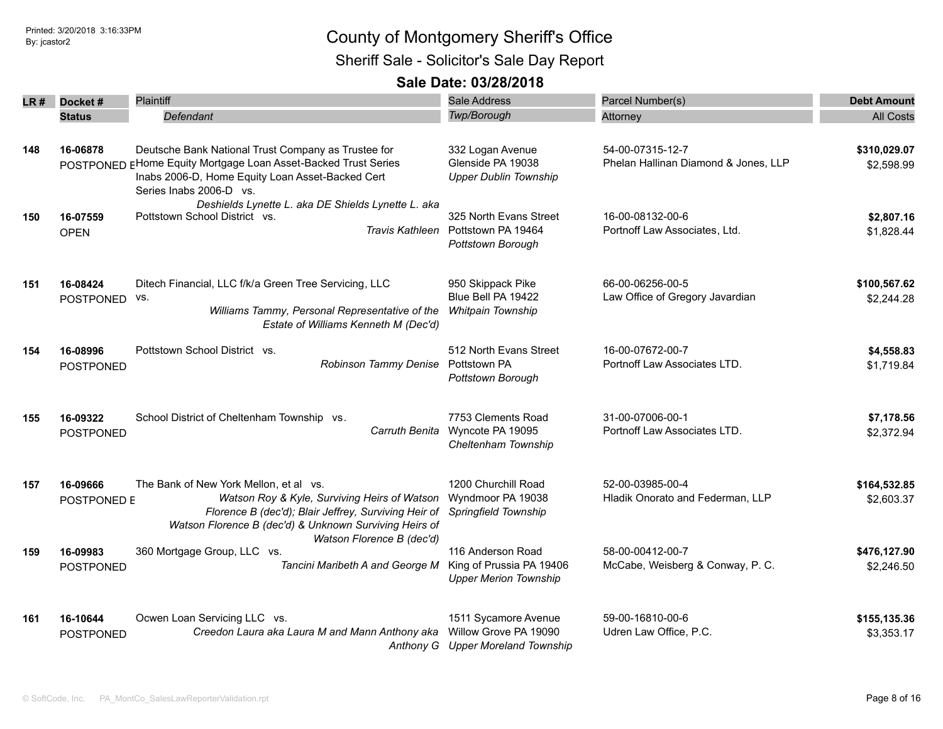| LR # | Docket#                      | <b>Plaintiff</b>                                                                                                                                                                                         | Sale Address                                                                       | Parcel Number(s)                                         | <b>Debt Amount</b>         |
|------|------------------------------|----------------------------------------------------------------------------------------------------------------------------------------------------------------------------------------------------------|------------------------------------------------------------------------------------|----------------------------------------------------------|----------------------------|
|      | <b>Status</b>                | Defendant                                                                                                                                                                                                | Twp/Borough                                                                        | Attorney                                                 | <b>All Costs</b>           |
| 148  | 16-06878                     | Deutsche Bank National Trust Company as Trustee for<br>POSTPONED EHome Equity Mortgage Loan Asset-Backed Trust Series<br>Inabs 2006-D, Home Equity Loan Asset-Backed Cert<br>Series Inabs 2006-D vs.     | 332 Logan Avenue<br>Glenside PA 19038<br><b>Upper Dublin Township</b>              | 54-00-07315-12-7<br>Phelan Hallinan Diamond & Jones, LLP | \$310,029.07<br>\$2,598.99 |
| 150  | 16-07559<br><b>OPEN</b>      | Deshields Lynette L. aka DE Shields Lynette L. aka<br>Pottstown School District vs.                                                                                                                      | 325 North Evans Street<br>Travis Kathleen Pottstown PA 19464<br>Pottstown Borough  | 16-00-08132-00-6<br>Portnoff Law Associates, Ltd.        | \$2,807.16<br>\$1,828.44   |
| 151  | 16-08424<br>POSTPONED        | Ditech Financial, LLC f/k/a Green Tree Servicing, LLC<br>VS.<br>Williams Tammy, Personal Representative of the<br>Estate of Williams Kenneth M (Dec'd)                                                   | 950 Skippack Pike<br>Blue Bell PA 19422<br>Whitpain Township                       | 66-00-06256-00-5<br>Law Office of Gregory Javardian      | \$100,567.62<br>\$2,244.28 |
| 154  | 16-08996<br><b>POSTPONED</b> | Pottstown School District vs.<br>Robinson Tammy Denise                                                                                                                                                   | 512 North Evans Street<br>Pottstown PA<br>Pottstown Borough                        | 16-00-07672-00-7<br>Portnoff Law Associates LTD.         | \$4,558.83<br>\$1,719.84   |
| 155  | 16-09322<br><b>POSTPONED</b> | School District of Cheltenham Township vs.<br>Carruth Benita                                                                                                                                             | 7753 Clements Road<br>Wyncote PA 19095<br>Cheltenham Township                      | 31-00-07006-00-1<br>Portnoff Law Associates LTD.         | \$7,178.56<br>\$2,372.94   |
| 157  | 16-09666<br>POSTPONED E      | The Bank of New York Mellon, et al vs.<br>Watson Roy & Kyle, Surviving Heirs of Watson<br>Florence B (dec'd); Blair Jeffrey, Surviving Heir of<br>Watson Florence B (dec'd) & Unknown Surviving Heirs of | 1200 Churchill Road<br>Wyndmoor PA 19038<br>Springfield Township                   | 52-00-03985-00-4<br>Hladik Onorato and Federman, LLP     | \$164,532.85<br>\$2,603.37 |
| 159  | 16-09983<br>POSTPONED        | Watson Florence B (dec'd)<br>360 Mortgage Group, LLC vs.<br>Tancini Maribeth A and George M                                                                                                              | 116 Anderson Road<br>King of Prussia PA 19406<br><b>Upper Merion Township</b>      | 58-00-00412-00-7<br>McCabe, Weisberg & Conway, P. C.     | \$476,127.90<br>\$2,246.50 |
| 161  | 16-10644<br><b>POSTPONED</b> | Ocwen Loan Servicing LLC vs.<br>Creedon Laura aka Laura M and Mann Anthony aka                                                                                                                           | 1511 Sycamore Avenue<br>Willow Grove PA 19090<br>Anthony G Upper Moreland Township | 59-00-16810-00-6<br>Udren Law Office, P.C.               | \$155,135.36<br>\$3,353.17 |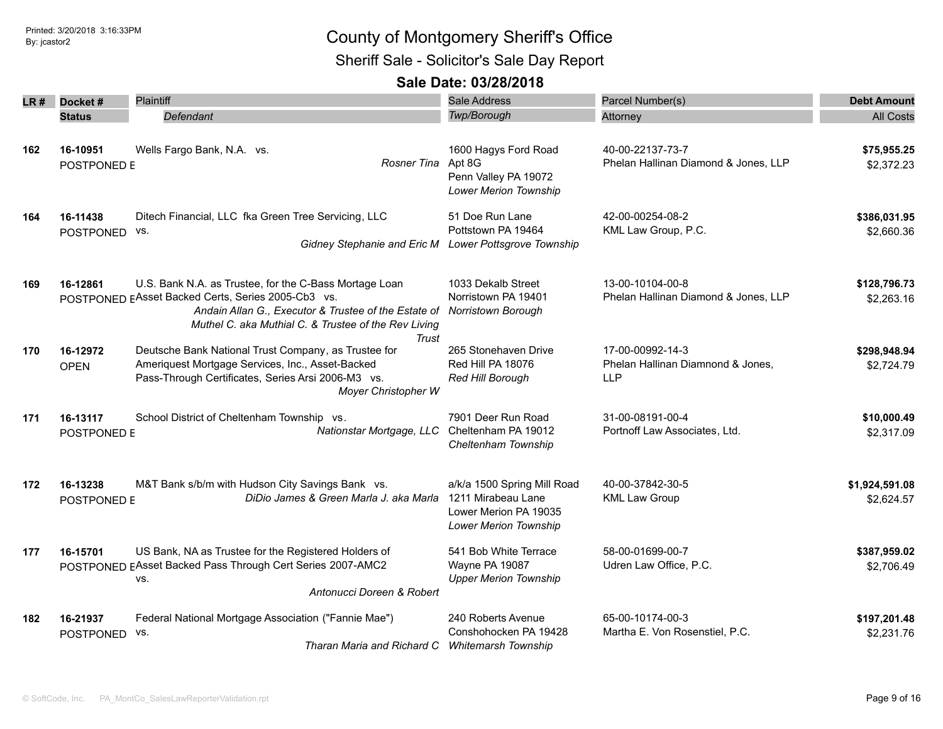#### Sheriff Sale - Solicitor's Sale Day Report

| LR#I | Docket#                      | Plaintiff                                                                                                                                                                                                                             | <b>Sale Address</b>                                                                                 | Parcel Number(s)                                                    | <b>Debt Amount</b>           |
|------|------------------------------|---------------------------------------------------------------------------------------------------------------------------------------------------------------------------------------------------------------------------------------|-----------------------------------------------------------------------------------------------------|---------------------------------------------------------------------|------------------------------|
|      | <b>Status</b>                | Defendant                                                                                                                                                                                                                             | <b>Twp/Borough</b>                                                                                  | Attorney                                                            | <b>All Costs</b>             |
| 162  | 16-10951<br>POSTPONED E      | Wells Fargo Bank, N.A. vs.<br>Rosner Tina                                                                                                                                                                                             | 1600 Hagys Ford Road<br>Apt 8G<br>Penn Valley PA 19072<br>Lower Merion Township                     | 40-00-22137-73-7<br>Phelan Hallinan Diamond & Jones, LLP            | \$75,955.25<br>\$2,372.23    |
| 164  | 16-11438<br>POSTPONED        | Ditech Financial, LLC fka Green Tree Servicing, LLC<br>VS.<br>Gidney Stephanie and Eric M                                                                                                                                             | 51 Doe Run Lane<br>Pottstown PA 19464<br>Lower Pottsgrove Township                                  | 42-00-00254-08-2<br>KML Law Group, P.C.                             | \$386,031.95<br>\$2,660.36   |
| 169  | 16-12861                     | U.S. Bank N.A. as Trustee, for the C-Bass Mortage Loan<br>POSTPONED EAsset Backed Certs, Series 2005-Cb3 vs.<br>Andain Allan G., Executor & Trustee of the Estate of<br>Muthel C. aka Muthial C. & Trustee of the Rev Living<br>Trust | 1033 Dekalb Street<br>Norristown PA 19401<br>Norristown Borough                                     | 13-00-10104-00-8<br>Phelan Hallinan Diamond & Jones, LLP            | \$128,796.73<br>\$2,263.16   |
| 170  | 16-12972<br><b>OPEN</b>      | Deutsche Bank National Trust Company, as Trustee for<br>Ameriquest Mortgage Services, Inc., Asset-Backed<br>Pass-Through Certificates, Series Arsi 2006-M3 vs.<br>Moyer Christopher W                                                 | 265 Stonehaven Drive<br>Red Hill PA 18076<br>Red Hill Borough                                       | 17-00-00992-14-3<br>Phelan Hallinan Diamnond & Jones,<br><b>LLP</b> | \$298,948.94<br>\$2,724.79   |
| 171  | 16-13117<br>POSTPONED E      | School District of Cheltenham Township vs.<br>Nationstar Mortgage, LLC                                                                                                                                                                | 7901 Deer Run Road<br>Cheltenham PA 19012<br>Cheltenham Township                                    | 31-00-08191-00-4<br>Portnoff Law Associates, Ltd.                   | \$10,000.49<br>\$2,317.09    |
| 172  | 16-13238<br>POSTPONED E      | M&T Bank s/b/m with Hudson City Savings Bank vs.<br>DiDio James & Green Marla J. aka Marla                                                                                                                                            | a/k/a 1500 Spring Mill Road<br>1211 Mirabeau Lane<br>Lower Merion PA 19035<br>Lower Merion Township | 40-00-37842-30-5<br><b>KML Law Group</b>                            | \$1,924,591.08<br>\$2,624.57 |
| 177  | 16-15701                     | US Bank, NA as Trustee for the Registered Holders of<br>POSTPONED EAsset Backed Pass Through Cert Series 2007-AMC2<br>VS.<br>Antonucci Doreen & Robert                                                                                | 541 Bob White Terrace<br>Wayne PA 19087<br><b>Upper Merion Township</b>                             | 58-00-01699-00-7<br>Udren Law Office, P.C.                          | \$387,959.02<br>\$2,706.49   |
| 182  | 16-21937<br><b>POSTPONED</b> | Federal National Mortgage Association ("Fannie Mae")<br>VS.<br>Tharan Maria and Richard C                                                                                                                                             | 240 Roberts Avenue<br>Conshohocken PA 19428<br><b>Whitemarsh Township</b>                           | 65-00-10174-00-3<br>Martha E. Von Rosenstiel, P.C.                  | \$197,201.48<br>\$2,231.76   |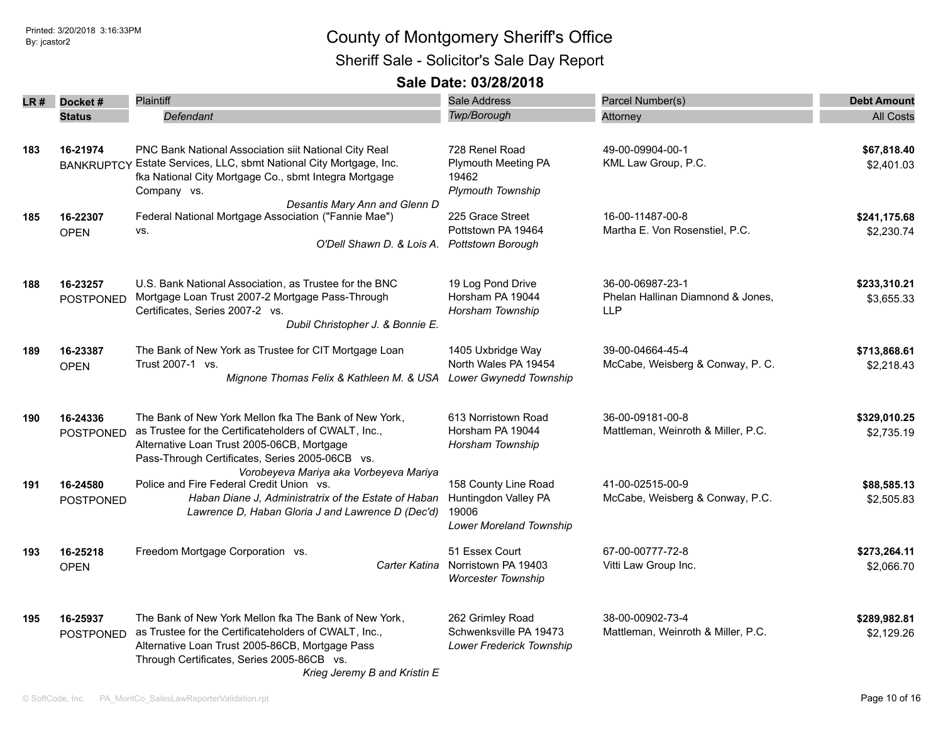| LR# | Docket#                       | <b>Plaintiff</b>                                                                                                                                                                                                                                | <b>Sale Address</b>                                                              | Parcel Number(s)                                                    | <b>Debt Amount</b>         |
|-----|-------------------------------|-------------------------------------------------------------------------------------------------------------------------------------------------------------------------------------------------------------------------------------------------|----------------------------------------------------------------------------------|---------------------------------------------------------------------|----------------------------|
|     | <b>Status</b>                 | Defendant                                                                                                                                                                                                                                       | Twp/Borough                                                                      | Attorney                                                            | <b>All Costs</b>           |
| 183 | 16-21974<br><b>BANKRUPTCY</b> | PNC Bank National Association siit National City Real<br>Estate Services, LLC, sbmt National City Mortgage, Inc.<br>fka National City Mortgage Co., sbmt Integra Mortgage<br>Company vs.                                                        | 728 Renel Road<br>Plymouth Meeting PA<br>19462<br><b>Plymouth Township</b>       | 49-00-09904-00-1<br>KML Law Group, P.C.                             | \$67,818.40<br>\$2,401.03  |
| 185 | 16-22307<br><b>OPEN</b>       | Desantis Mary Ann and Glenn D<br>Federal National Mortgage Association ("Fannie Mae")<br>VS.<br>O'Dell Shawn D. & Lois A. Pottstown Borough                                                                                                     | 225 Grace Street<br>Pottstown PA 19464                                           | 16-00-11487-00-8<br>Martha E. Von Rosenstiel, P.C.                  | \$241,175.68<br>\$2,230.74 |
| 188 | 16-23257<br><b>POSTPONED</b>  | U.S. Bank National Association, as Trustee for the BNC<br>Mortgage Loan Trust 2007-2 Mortgage Pass-Through<br>Certificates, Series 2007-2 vs.<br>Dubil Christopher J. & Bonnie E.                                                               | 19 Log Pond Drive<br>Horsham PA 19044<br>Horsham Township                        | 36-00-06987-23-1<br>Phelan Hallinan Diamnond & Jones,<br><b>LLP</b> | \$233,310.21<br>\$3,655.33 |
| 189 | 16-23387<br><b>OPEN</b>       | The Bank of New York as Trustee for CIT Mortgage Loan<br>Trust 2007-1 vs.<br>Mignone Thomas Felix & Kathleen M. & USA                                                                                                                           | 1405 Uxbridge Way<br>North Wales PA 19454<br><b>Lower Gwynedd Township</b>       | 39-00-04664-45-4<br>McCabe, Weisberg & Conway, P. C.                | \$713,868.61<br>\$2,218.43 |
| 190 | 16-24336<br><b>POSTPONED</b>  | The Bank of New York Mellon fka The Bank of New York,<br>as Trustee for the Certificateholders of CWALT, Inc.,<br>Alternative Loan Trust 2005-06CB, Mortgage<br>Pass-Through Certificates, Series 2005-06CB vs.                                 | 613 Norristown Road<br>Horsham PA 19044<br>Horsham Township                      | 36-00-09181-00-8<br>Mattleman, Weinroth & Miller, P.C.              | \$329,010.25<br>\$2,735.19 |
| 191 | 16-24580<br><b>POSTPONED</b>  | Vorobeyeva Mariya aka Vorbeyeva Mariya<br>Police and Fire Federal Credit Union vs.<br>Haban Diane J, Administratrix of the Estate of Haban<br>Lawrence D, Haban Gloria J and Lawrence D (Dec'd)                                                 | 158 County Line Road<br>Huntingdon Valley PA<br>19006<br>Lower Moreland Township | 41-00-02515-00-9<br>McCabe, Weisberg & Conway, P.C.                 | \$88,585.13<br>\$2,505.83  |
| 193 | 16-25218<br><b>OPEN</b>       | Freedom Mortgage Corporation vs.<br>Carter Katina                                                                                                                                                                                               | 51 Essex Court<br>Norristown PA 19403<br><b>Worcester Township</b>               | 67-00-00777-72-8<br>Vitti Law Group Inc.                            | \$273,264.11<br>\$2,066.70 |
| 195 | 16-25937<br><b>POSTPONED</b>  | The Bank of New York Mellon fka The Bank of New York,<br>as Trustee for the Certificateholders of CWALT, Inc.,<br>Alternative Loan Trust 2005-86CB, Mortgage Pass<br>Through Certificates, Series 2005-86CB vs.<br>Krieg Jeremy B and Kristin E | 262 Grimley Road<br>Schwenksville PA 19473<br>Lower Frederick Township           | 38-00-00902-73-4<br>Mattleman, Weinroth & Miller, P.C.              | \$289,982.81<br>\$2,129.26 |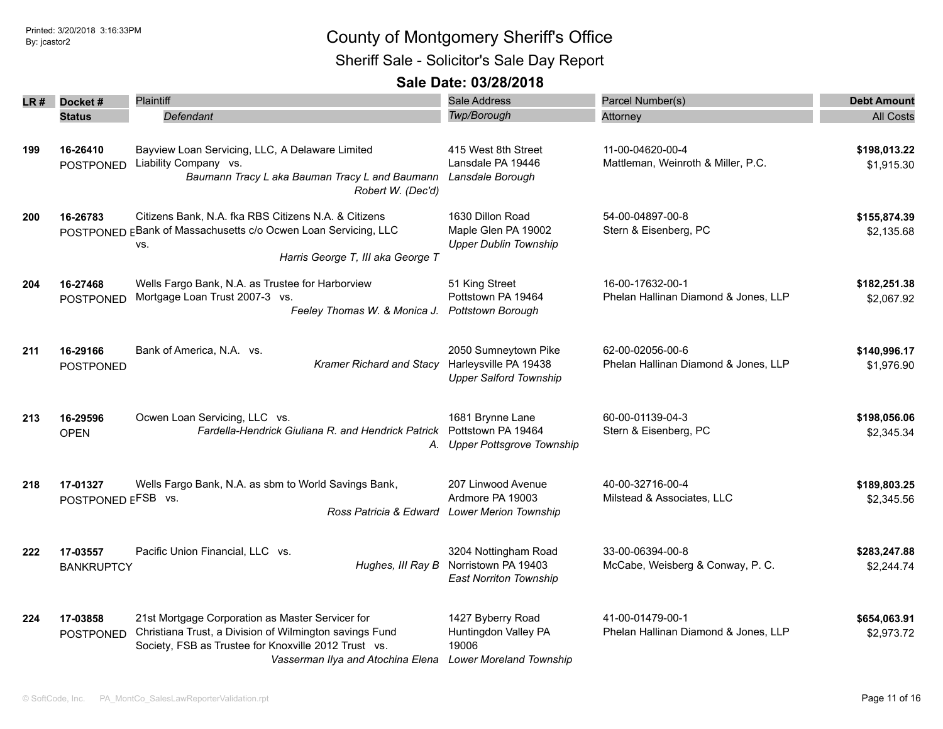| LR # | Docket#<br><b>Status</b>       | <b>Plaintiff</b><br>Defendant                                                                                                                                                                            | <b>Sale Address</b><br>Twp/Borough                                                             | Parcel Number(s)<br>Attorney                             | <b>Debt Amount</b><br><b>All Costs</b> |
|------|--------------------------------|----------------------------------------------------------------------------------------------------------------------------------------------------------------------------------------------------------|------------------------------------------------------------------------------------------------|----------------------------------------------------------|----------------------------------------|
| 199  | 16-26410<br><b>POSTPONED</b>   | Bayview Loan Servicing, LLC, A Delaware Limited<br>Liability Company vs.<br>Baumann Tracy L aka Bauman Tracy L and Baumann<br>Robert W. (Dec'd)                                                          | 415 West 8th Street<br>Lansdale PA 19446<br>Lansdale Borough                                   | 11-00-04620-00-4<br>Mattleman, Weinroth & Miller, P.C.   | \$198,013.22<br>\$1,915.30             |
| 200  | 16-26783                       | Citizens Bank, N.A. fka RBS Citizens N.A. & Citizens<br>POSTPONED EBank of Massachusetts c/o Ocwen Loan Servicing, LLC<br>VS.<br>Harris George T, III aka George T                                       | 1630 Dillon Road<br>Maple Glen PA 19002<br><b>Upper Dublin Township</b>                        | 54-00-04897-00-8<br>Stern & Eisenberg, PC                | \$155,874.39<br>\$2,135.68             |
| 204  | 16-27468<br><b>POSTPONED</b>   | Wells Fargo Bank, N.A. as Trustee for Harborview<br>Mortgage Loan Trust 2007-3 vs.<br>Feeley Thomas W. & Monica J.                                                                                       | 51 King Street<br>Pottstown PA 19464<br><b>Pottstown Borough</b>                               | 16-00-17632-00-1<br>Phelan Hallinan Diamond & Jones, LLP | \$182,251.38<br>\$2,067.92             |
| 211  | 16-29166<br><b>POSTPONED</b>   | Bank of America, N.A. vs.<br>Kramer Richard and Stacy                                                                                                                                                    | 2050 Sumneytown Pike<br>Harleysville PA 19438<br><b>Upper Salford Township</b>                 | 62-00-02056-00-6<br>Phelan Hallinan Diamond & Jones, LLP | \$140,996.17<br>\$1,976.90             |
| 213  | 16-29596<br><b>OPEN</b>        | Ocwen Loan Servicing, LLC vs.<br>Fardella-Hendrick Giuliana R. and Hendrick Patrick                                                                                                                      | 1681 Brynne Lane<br>Pottstown PA 19464<br>A. Upper Pottsgrove Township                         | 60-00-01139-04-3<br>Stern & Eisenberg, PC                | \$198,056.06<br>\$2,345.34             |
| 218  | 17-01327<br>POSTPONED EFSB vs. | Wells Fargo Bank, N.A. as sbm to World Savings Bank,                                                                                                                                                     | 207 Linwood Avenue<br>Ardmore PA 19003<br>Ross Patricia & Edward Lower Merion Township         | 40-00-32716-00-4<br>Milstead & Associates, LLC           | \$189,803.25<br>\$2,345.56             |
| 222  | 17-03557<br><b>BANKRUPTCY</b>  | Pacific Union Financial, LLC vs.                                                                                                                                                                         | 3204 Nottingham Road<br>Hughes, III Ray B Norristown PA 19403<br><b>East Norriton Township</b> | 33-00-06394-00-8<br>McCabe, Weisberg & Conway, P. C.     | \$283,247.88<br>\$2,244.74             |
| 224  | 17-03858<br><b>POSTPONED</b>   | 21st Mortgage Corporation as Master Servicer for<br>Christiana Trust, a Division of Wilmington savings Fund<br>Society, FSB as Trustee for Knoxville 2012 Trust vs.<br>Vasserman Ilya and Atochina Elena | 1427 Byberry Road<br>Huntingdon Valley PA<br>19006<br><b>Lower Moreland Township</b>           | 41-00-01479-00-1<br>Phelan Hallinan Diamond & Jones, LLP | \$654,063.91<br>\$2,973.72             |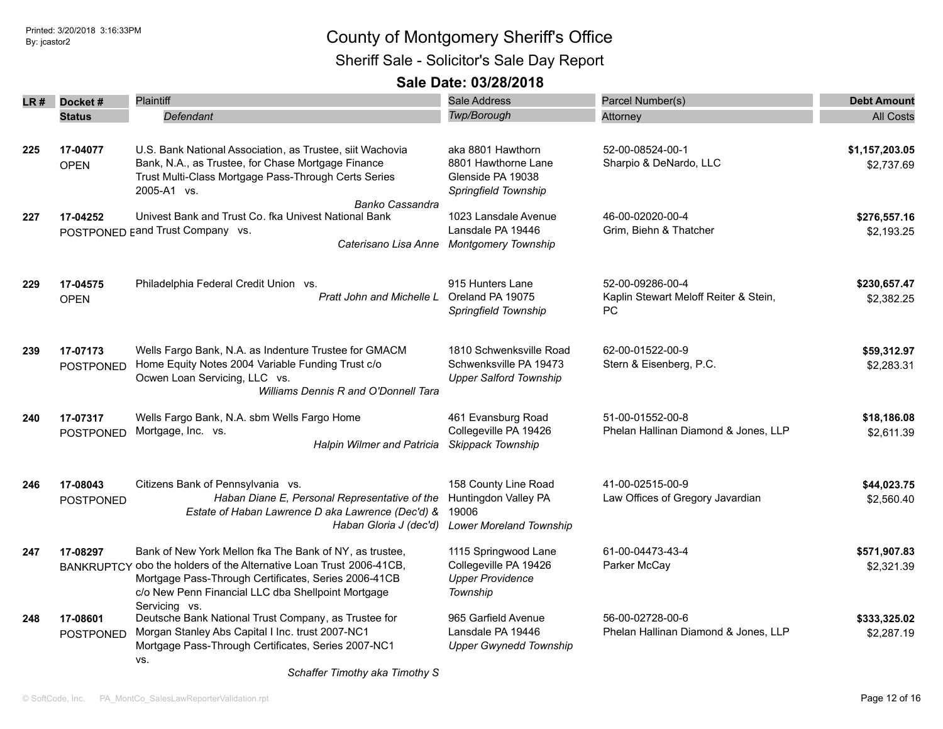| LR # | Docket#                      | <b>Plaintiff</b>                                                                                                                                                                                                                             | <b>Sale Address</b>                                                                     | Parcel Number(s)                                                 | <b>Debt Amount</b>           |
|------|------------------------------|----------------------------------------------------------------------------------------------------------------------------------------------------------------------------------------------------------------------------------------------|-----------------------------------------------------------------------------------------|------------------------------------------------------------------|------------------------------|
|      | <b>Status</b>                | Defendant                                                                                                                                                                                                                                    | Twp/Borough                                                                             | Attorney                                                         | <b>All Costs</b>             |
| 225  | 17-04077<br><b>OPEN</b>      | U.S. Bank National Association, as Trustee, siit Wachovia<br>Bank, N.A., as Trustee, for Chase Mortgage Finance<br>Trust Multi-Class Mortgage Pass-Through Certs Series<br>2005-A1 vs.                                                       | aka 8801 Hawthorn<br>8801 Hawthorne Lane<br>Glenside PA 19038<br>Springfield Township   | 52-00-08524-00-1<br>Sharpio & DeNardo, LLC                       | \$1,157,203.05<br>\$2,737.69 |
| 227  | 17-04252                     | Banko Cassandra<br>Univest Bank and Trust Co. fka Univest National Bank<br>POSTPONED Eand Trust Company vs.<br>Caterisano Lisa Anne                                                                                                          | 1023 Lansdale Avenue<br>Lansdale PA 19446<br><b>Montgomery Township</b>                 | 46-00-02020-00-4<br>Grim, Biehn & Thatcher                       | \$276,557.16<br>\$2,193.25   |
| 229  | 17-04575<br><b>OPEN</b>      | Philadelphia Federal Credit Union vs.<br>Pratt John and Michelle L                                                                                                                                                                           | 915 Hunters Lane<br>Oreland PA 19075<br>Springfield Township                            | 52-00-09286-00-4<br>Kaplin Stewart Meloff Reiter & Stein,<br>PC. | \$230,657.47<br>\$2,382.25   |
| 239  | 17-07173<br>POSTPONED        | Wells Fargo Bank, N.A. as Indenture Trustee for GMACM<br>Home Equity Notes 2004 Variable Funding Trust c/o<br>Ocwen Loan Servicing, LLC vs.<br><b>Williams Dennis R and O'Donnell Tara</b>                                                   | 1810 Schwenksville Road<br>Schwenksville PA 19473<br><b>Upper Salford Township</b>      | 62-00-01522-00-9<br>Stern & Eisenberg, P.C.                      | \$59,312.97<br>\$2,283.31    |
| 240  | 17-07317<br><b>POSTPONED</b> | Wells Fargo Bank, N.A. sbm Wells Fargo Home<br>Mortgage, Inc. vs.<br><b>Halpin Wilmer and Patricia</b>                                                                                                                                       | 461 Evansburg Road<br>Collegeville PA 19426<br>Skippack Township                        | 51-00-01552-00-8<br>Phelan Hallinan Diamond & Jones, LLP         | \$18,186.08<br>\$2,611.39    |
| 246  | 17-08043<br><b>POSTPONED</b> | Citizens Bank of Pennsylvania vs.<br>Haban Diane E, Personal Representative of the<br>Estate of Haban Lawrence D aka Lawrence (Dec'd) &<br>Haban Gloria J (dec'd)                                                                            | 158 County Line Road<br>Huntingdon Valley PA<br>19006<br><b>Lower Moreland Township</b> | 41-00-02515-00-9<br>Law Offices of Gregory Javardian             | \$44,023.75<br>\$2,560.40    |
| 247  | 17-08297                     | Bank of New York Mellon fka The Bank of NY, as trustee,<br>BANKRUPTCY obo the holders of the Alternative Loan Trust 2006-41CB,<br>Mortgage Pass-Through Certificates, Series 2006-41CB<br>c/o New Penn Financial LLC dba Shellpoint Mortgage | 1115 Springwood Lane<br>Collegeville PA 19426<br><b>Upper Providence</b><br>Township    | 61-00-04473-43-4<br>Parker McCay                                 | \$571,907.83<br>\$2,321.39   |
| 248  | 17-08601<br>POSTPONED        | Servicing vs.<br>Deutsche Bank National Trust Company, as Trustee for<br>Morgan Stanley Abs Capital I Inc. trust 2007-NC1<br>Mortgage Pass-Through Certificates, Series 2007-NC1<br>VS.                                                      | 965 Garfield Avenue<br>Lansdale PA 19446<br><b>Upper Gwynedd Township</b>               | 56-00-02728-00-6<br>Phelan Hallinan Diamond & Jones, LLP         | \$333,325.02<br>\$2,287.19   |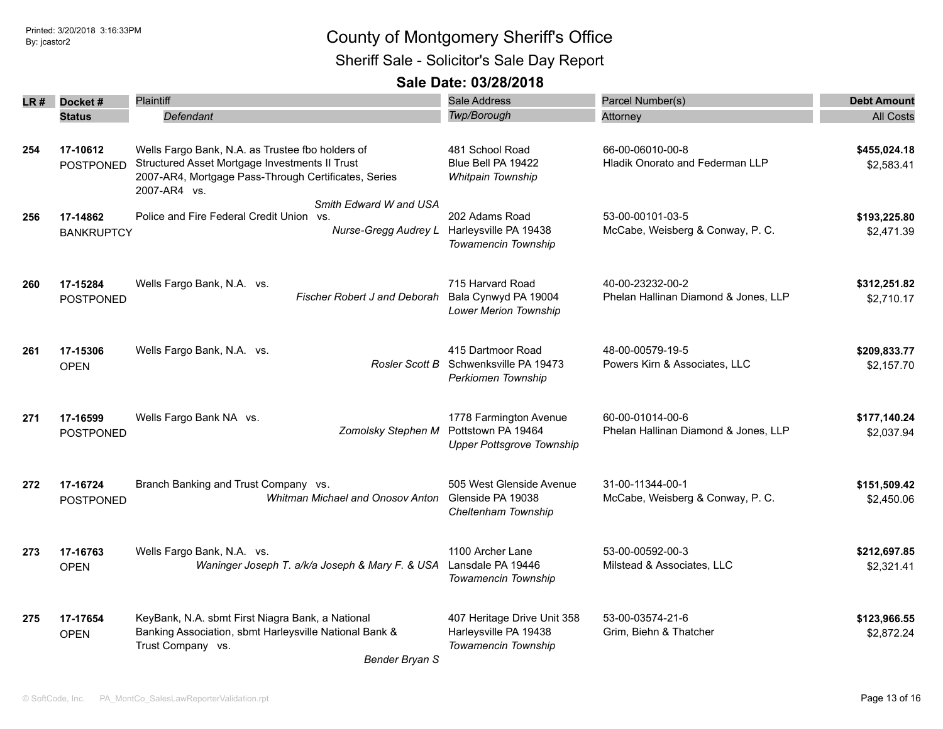| LR# | Docket#                       | <b>Plaintiff</b>                                                                                                                                                           | <b>Sale Address</b>                                                              | Parcel Number(s)                                           | <b>Debt Amount</b>         |
|-----|-------------------------------|----------------------------------------------------------------------------------------------------------------------------------------------------------------------------|----------------------------------------------------------------------------------|------------------------------------------------------------|----------------------------|
|     | <b>Status</b>                 | Defendant                                                                                                                                                                  | Twp/Borough                                                                      | Attorney                                                   | <b>All Costs</b>           |
| 254 | 17-10612<br><b>POSTPONED</b>  | Wells Fargo Bank, N.A. as Trustee fbo holders of<br>Structured Asset Mortgage Investments II Trust<br>2007-AR4, Mortgage Pass-Through Certificates, Series<br>2007-AR4 vs. | 481 School Road<br>Blue Bell PA 19422<br>Whitpain Township                       | 66-00-06010-00-8<br><b>Hladik Onorato and Federman LLP</b> | \$455,024.18<br>\$2,583.41 |
| 256 | 17-14862<br><b>BANKRUPTCY</b> | Smith Edward W and USA<br>Police and Fire Federal Credit Union vs.<br>Nurse-Gregg Audrey L                                                                                 | 202 Adams Road<br>Harleysville PA 19438<br>Towamencin Township                   | 53-00-00101-03-5<br>McCabe, Weisberg & Conway, P. C.       | \$193,225.80<br>\$2,471.39 |
| 260 | 17-15284<br><b>POSTPONED</b>  | Wells Fargo Bank, N.A. vs.<br><b>Fischer Robert J and Deborah</b>                                                                                                          | 715 Harvard Road<br>Bala Cynwyd PA 19004<br><b>Lower Merion Township</b>         | 40-00-23232-00-2<br>Phelan Hallinan Diamond & Jones, LLP   | \$312,251.82<br>\$2,710.17 |
| 261 | 17-15306<br><b>OPEN</b>       | Wells Fargo Bank, N.A. vs.<br>Rosler Scott B                                                                                                                               | 415 Dartmoor Road<br>Schwenksville PA 19473<br>Perkiomen Township                | 48-00-00579-19-5<br>Powers Kirn & Associates, LLC          | \$209,833.77<br>\$2,157.70 |
| 271 | 17-16599<br><b>POSTPONED</b>  | Wells Fargo Bank NA vs.<br>Zomolsky Stephen M                                                                                                                              | 1778 Farmington Avenue<br>Pottstown PA 19464<br><b>Upper Pottsgrove Township</b> | 60-00-01014-00-6<br>Phelan Hallinan Diamond & Jones, LLP   | \$177,140.24<br>\$2,037.94 |
| 272 | 17-16724<br>POSTPONED         | Branch Banking and Trust Company vs.<br>Whitman Michael and Onosov Anton                                                                                                   | 505 West Glenside Avenue<br>Glenside PA 19038<br>Cheltenham Township             | 31-00-11344-00-1<br>McCabe, Weisberg & Conway, P. C.       | \$151,509.42<br>\$2,450.06 |
| 273 | 17-16763<br><b>OPEN</b>       | Wells Fargo Bank, N.A. vs.<br>Waninger Joseph T. a/k/a Joseph & Mary F. & USA Lansdale PA 19446                                                                            | 1100 Archer Lane<br>Towamencin Township                                          | 53-00-00592-00-3<br>Milstead & Associates, LLC             | \$212,697.85<br>\$2,321.41 |
| 275 | 17-17654<br><b>OPEN</b>       | KeyBank, N.A. sbmt First Niagra Bank, a National<br>Banking Association, sbmt Harleysville National Bank &<br>Trust Company vs.<br>Bender Bryan S                          | 407 Heritage Drive Unit 358<br>Harleysville PA 19438<br>Towamencin Township      | 53-00-03574-21-6<br>Grim, Biehn & Thatcher                 | \$123,966.55<br>\$2,872.24 |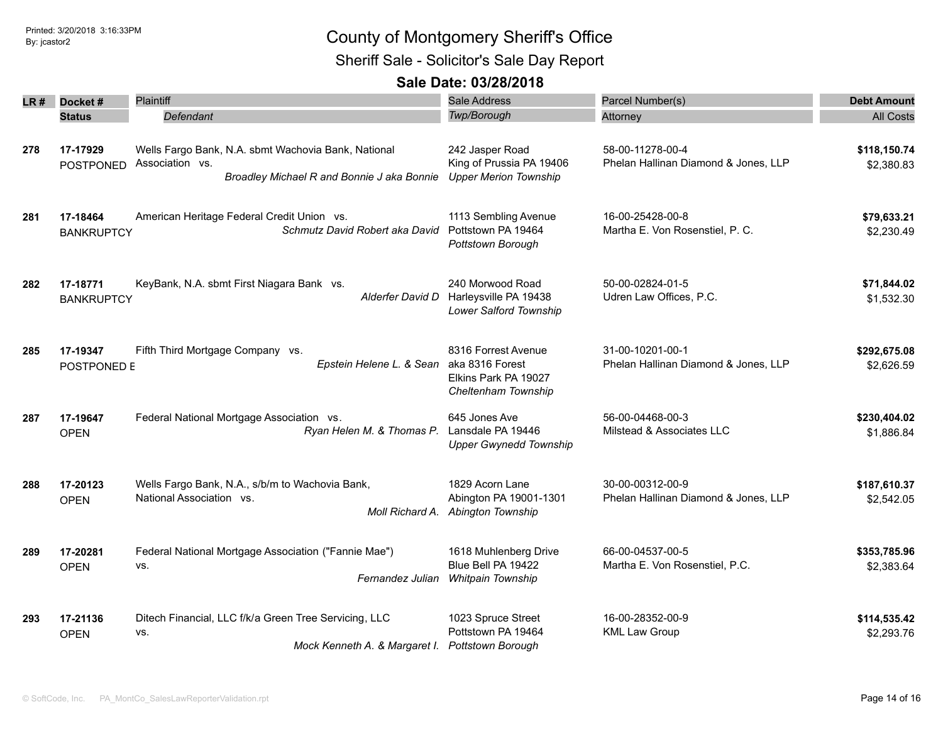| LR# | Docket#           | Plaintiff                                             | Sale Address                                    | Parcel Number(s)                     | <b>Debt Amount</b> |
|-----|-------------------|-------------------------------------------------------|-------------------------------------------------|--------------------------------------|--------------------|
|     | <b>Status</b>     | Defendant                                             | Twp/Borough                                     | Attorney                             | <b>All Costs</b>   |
|     |                   |                                                       |                                                 |                                      |                    |
| 278 | 17-17929          | Wells Fargo Bank, N.A. sbmt Wachovia Bank, National   | 242 Jasper Road                                 | 58-00-11278-00-4                     | \$118,150.74       |
|     | <b>POSTPONED</b>  | Association vs.                                       | King of Prussia PA 19406                        | Phelan Hallinan Diamond & Jones, LLP | \$2,380.83         |
|     |                   | Broadley Michael R and Bonnie J aka Bonnie            | <b>Upper Merion Township</b>                    |                                      |                    |
| 281 | 17-18464          | American Heritage Federal Credit Union vs.            | 1113 Sembling Avenue                            | 16-00-25428-00-8                     | \$79,633.21        |
|     | <b>BANKRUPTCY</b> | Schmutz David Robert aka David                        | Pottstown PA 19464                              | Martha E. Von Rosenstiel, P. C.      | \$2,230.49         |
|     |                   |                                                       | Pottstown Borough                               |                                      |                    |
| 282 | 17-18771          | KeyBank, N.A. sbmt First Niagara Bank vs.             | 240 Morwood Road                                | 50-00-02824-01-5                     | \$71,844.02        |
|     | <b>BANKRUPTCY</b> | Alderfer David D                                      | Harleysville PA 19438<br>Lower Salford Township | Udren Law Offices, P.C.              | \$1,532.30         |
|     |                   |                                                       |                                                 |                                      |                    |
| 285 | 17-19347          | Fifth Third Mortgage Company vs.                      | 8316 Forrest Avenue                             | 31-00-10201-00-1                     | \$292,675.08       |
|     | POSTPONED E       | Epstein Helene L. & Sean                              | aka 8316 Forest                                 | Phelan Hallinan Diamond & Jones, LLP | \$2,626.59         |
|     |                   |                                                       | Elkins Park PA 19027<br>Cheltenham Township     |                                      |                    |
| 287 | 17-19647          | Federal National Mortgage Association vs.             | 645 Jones Ave                                   | 56-00-04468-00-3                     | \$230,404.02       |
|     | <b>OPEN</b>       | Ryan Helen M. & Thomas P.                             | Lansdale PA 19446                               | Milstead & Associates LLC            | \$1,886.84         |
|     |                   |                                                       | <b>Upper Gwynedd Township</b>                   |                                      |                    |
| 288 | 17-20123          | Wells Fargo Bank, N.A., s/b/m to Wachovia Bank,       | 1829 Acorn Lane                                 | 30-00-00312-00-9                     | \$187,610.37       |
|     | <b>OPEN</b>       | National Association vs.                              | Abington PA 19001-1301                          | Phelan Hallinan Diamond & Jones, LLP | \$2,542.05         |
|     |                   | Moll Richard A.                                       | Abington Township                               |                                      |                    |
| 289 | 17-20281          | Federal National Mortgage Association ("Fannie Mae")  | 1618 Muhlenberg Drive                           | 66-00-04537-00-5                     | \$353,785.96       |
|     | <b>OPEN</b>       | VS.                                                   | Blue Bell PA 19422                              | Martha E. Von Rosenstiel, P.C.       | \$2,383.64         |
|     |                   | Fernandez Julian                                      | Whitpain Township                               |                                      |                    |
| 293 | 17-21136          | Ditech Financial, LLC f/k/a Green Tree Servicing, LLC | 1023 Spruce Street                              | 16-00-28352-00-9                     | \$114,535.42       |
|     | <b>OPEN</b>       | VS.                                                   | Pottstown PA 19464                              | <b>KML Law Group</b>                 | \$2,293.76         |
|     |                   | Mock Kenneth A. & Margaret I.                         | <b>Pottstown Borough</b>                        |                                      |                    |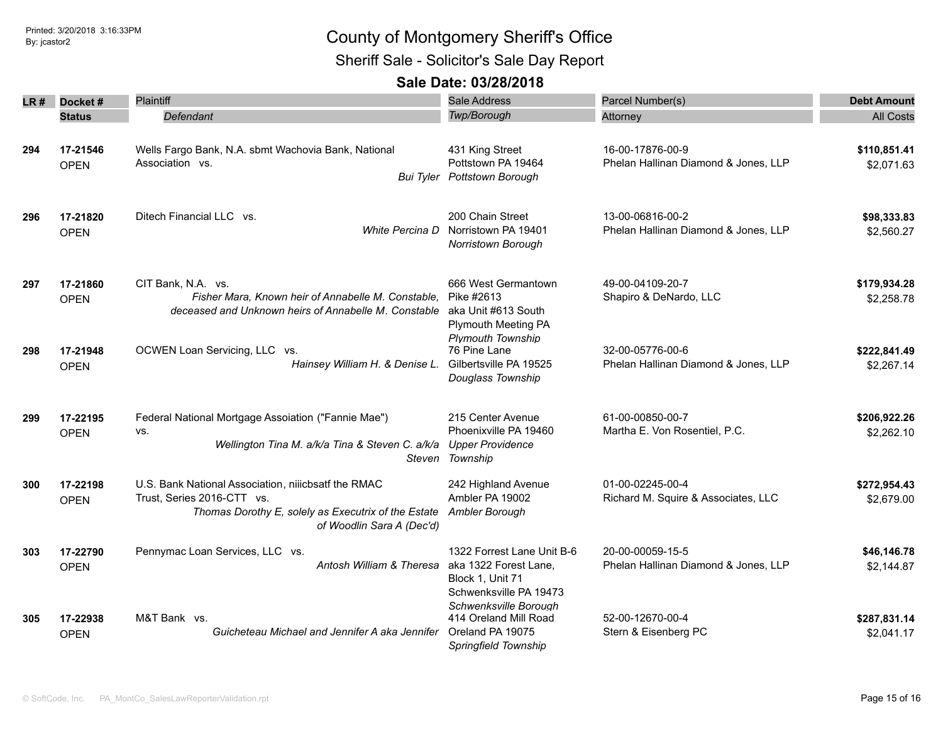## Sheriff Sale - Solicitor's Sale Day Report

| LR # | Docket#                 | Plaintiff                                                                                                                                                             | <b>Sale Address</b>                                                                               | Parcel Number(s)                                         | <b>Debt Amount</b>         |
|------|-------------------------|-----------------------------------------------------------------------------------------------------------------------------------------------------------------------|---------------------------------------------------------------------------------------------------|----------------------------------------------------------|----------------------------|
|      | <b>Status</b>           | Defendant                                                                                                                                                             | <b>Twp/Borough</b>                                                                                | Attorney                                                 | <b>All Costs</b>           |
| 294  | 17-21546<br><b>OPEN</b> | Wells Fargo Bank, N.A. sbmt Wachovia Bank, National<br>Association vs.                                                                                                | 431 King Street<br>Pottstown PA 19464<br>Bui Tyler Pottstown Borough                              | 16-00-17876-00-9<br>Phelan Hallinan Diamond & Jones, LLP | \$110,851.41<br>\$2,071.63 |
| 296  | 17-21820<br><b>OPEN</b> | Ditech Financial LLC vs.<br>White Percina D                                                                                                                           | 200 Chain Street<br>Norristown PA 19401<br>Norristown Borough                                     | 13-00-06816-00-2<br>Phelan Hallinan Diamond & Jones, LLP | \$98,333.83<br>\$2,560.27  |
| 297  | 17-21860<br><b>OPEN</b> | CIT Bank, N.A. vs.<br>Fisher Mara, Known heir of Annabelle M. Constable,<br>deceased and Unknown heirs of Annabelle M. Constable                                      | 666 West Germantown<br>Pike #2613<br>aka Unit #613 South<br><b>Plymouth Meeting PA</b>            | 49-00-04109-20-7<br>Shapiro & DeNardo, LLC               | \$179,934.28<br>\$2,258.78 |
| 298  | 17-21948<br><b>OPEN</b> | OCWEN Loan Servicing, LLC vs.<br>Hainsey William H. & Denise L.                                                                                                       | Plymouth Township<br>76 Pine Lane<br>Gilbertsville PA 19525<br>Douglass Township                  | 32-00-05776-00-6<br>Phelan Hallinan Diamond & Jones, LLP | \$222,841.49<br>\$2,267.14 |
| 299  | 17-22195<br><b>OPEN</b> | Federal National Mortgage Assoiation ("Fannie Mae")<br>VS.<br>Wellington Tina M. a/k/a Tina & Steven C. a/k/a                                                         | 215 Center Avenue<br>Phoenixville PA 19460<br><b>Upper Providence</b><br>Steven Township          | 61-00-00850-00-7<br>Martha E. Von Rosentiel, P.C.        | \$206,922.26<br>\$2,262.10 |
| 300  | 17-22198<br><b>OPEN</b> | U.S. Bank National Association, niiicbsatf the RMAC<br>Trust, Series 2016-CTT vs.<br>Thomas Dorothy E, solely as Executrix of the Estate<br>of Woodlin Sara A (Dec'd) | 242 Highland Avenue<br>Ambler PA 19002<br>Ambler Borough                                          | 01-00-02245-00-4<br>Richard M. Squire & Associates, LLC  | \$272,954.43<br>\$2,679.00 |
| 303  | 17-22790<br><b>OPEN</b> | Pennymac Loan Services, LLC vs.<br>Antosh William & Theresa                                                                                                           | 1322 Forrest Lane Unit B-6<br>aka 1322 Forest Lane,<br>Block 1, Unit 71<br>Schwenksville PA 19473 | 20-00-00059-15-5<br>Phelan Hallinan Diamond & Jones, LLP | \$46,146.78<br>\$2,144.87  |
| 305  | 17-22938<br><b>OPEN</b> | M&T Bank vs.<br>Guicheteau Michael and Jennifer A aka Jennifer                                                                                                        | Schwenksville Borough<br>414 Oreland Mill Road<br>Oreland PA 19075<br>Springfield Township        | 52-00-12670-00-4<br>Stern & Eisenberg PC                 | \$287,831.14<br>\$2,041.17 |